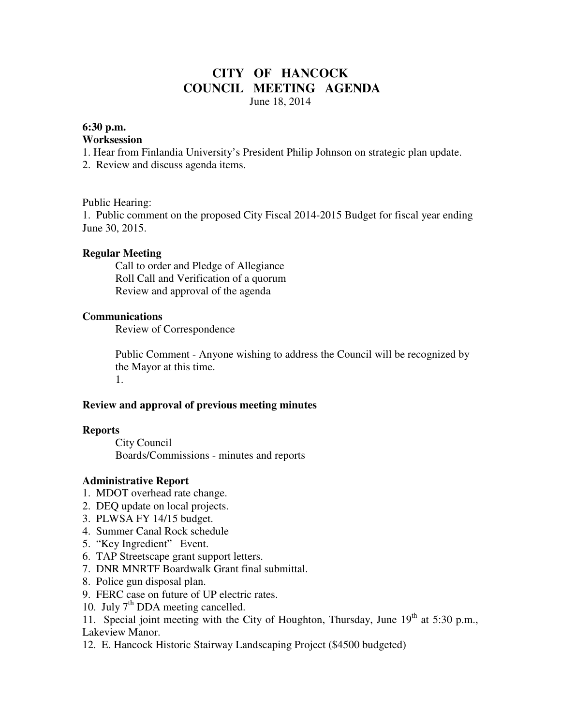# **CITY OF HANCOCK COUNCIL MEETING AGENDA**  June 18, 2014

### **6:30 p.m.**

#### **Worksession**

1. Hear from Finlandia University's President Philip Johnson on strategic plan update.

2. Review and discuss agenda items.

### Public Hearing:

1. Public comment on the proposed City Fiscal 2014-2015 Budget for fiscal year ending June 30, 2015.

### **Regular Meeting**

 Call to order and Pledge of Allegiance Roll Call and Verification of a quorum Review and approval of the agenda

### **Communications**

Review of Correspondence

 Public Comment - Anyone wishing to address the Council will be recognized by the Mayor at this time. 1.

### **Review and approval of previous meeting minutes**

#### **Reports**

City Council Boards/Commissions - minutes and reports

### **Administrative Report**

- 1. MDOT overhead rate change.
- 2. DEQ update on local projects.
- 3. PLWSA FY 14/15 budget.
- 4. Summer Canal Rock schedule
- 5. "Key Ingredient" Event.
- 6. TAP Streetscape grant support letters.
- 7. DNR MNRTF Boardwalk Grant final submittal.
- 8. Police gun disposal plan.
- 9. FERC case on future of UP electric rates.
- 10. July  $7<sup>th</sup>$  DDA meeting cancelled.
- 11. Special joint meeting with the City of Houghton, Thursday, June  $19<sup>th</sup>$  at 5:30 p.m., Lakeview Manor.
- 12. E. Hancock Historic Stairway Landscaping Project (\$4500 budgeted)